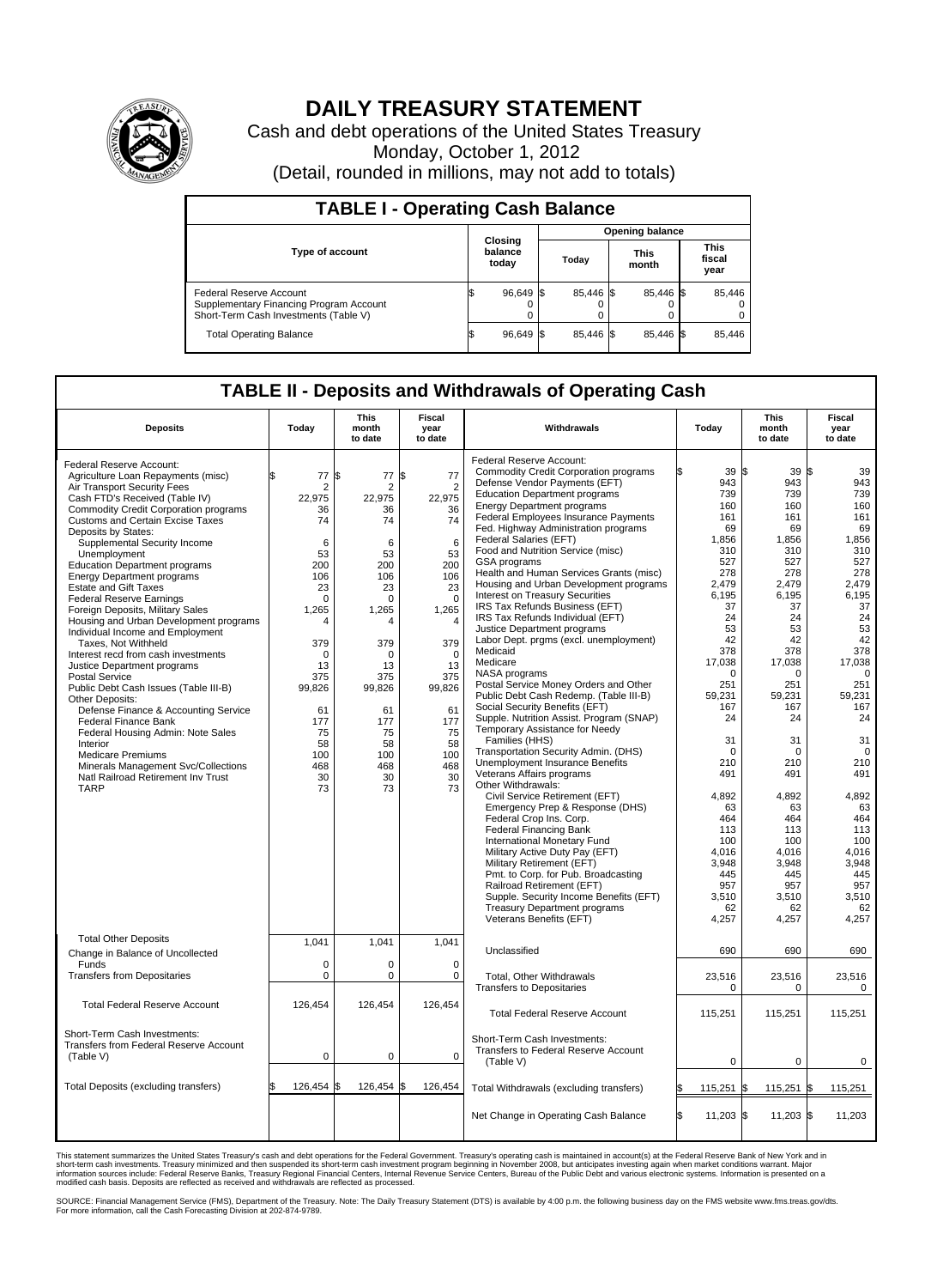

## **DAILY TREASURY STATEMENT**

Cash and debt operations of the United States Treasury Monday, October 1, 2012 (Detail, rounded in millions, may not add to totals)

| <b>TABLE I - Operating Cash Balance</b>                                                                     |                             |           |                        |           |  |                      |  |                               |  |
|-------------------------------------------------------------------------------------------------------------|-----------------------------|-----------|------------------------|-----------|--|----------------------|--|-------------------------------|--|
|                                                                                                             | Closing<br>balance<br>today |           | <b>Opening balance</b> |           |  |                      |  |                               |  |
| <b>Type of account</b>                                                                                      |                             |           |                        | Today     |  | <b>This</b><br>month |  | <b>This</b><br>fiscal<br>year |  |
| Federal Reserve Account<br>Supplementary Financing Program Account<br>Short-Term Cash Investments (Table V) |                             | 96,649 \$ |                        | 85,446 \$ |  | 85,446 \$<br>0       |  | 85,446                        |  |
| <b>Total Operating Balance</b>                                                                              |                             | 96,649    |                        | 85.446 \$ |  | 85.446 \$            |  | 85,446                        |  |

## **TABLE II - Deposits and Withdrawals of Operating Cash**

| <b>Deposits</b>                                                                                                                                                                                                                                                                                                                                                                                                                                                                                                                                                                                                                                                                                                                    | Today                                                                                                                                                      | <b>This</b><br>month<br>to date                                                                                                                                   | Fiscal<br>year<br>to date                                                                                                                                              | Withdrawals                                                                                                                                                                                                                                                                                                                                                                                                                                                                                                                                                                                                                                                                                                                                              | Today                                                                                                                                                | <b>This</b><br>month<br>to date                                                                                                                                | <b>Fiscal</b><br>year<br>to date                                                                                                                              |  |  |  |
|------------------------------------------------------------------------------------------------------------------------------------------------------------------------------------------------------------------------------------------------------------------------------------------------------------------------------------------------------------------------------------------------------------------------------------------------------------------------------------------------------------------------------------------------------------------------------------------------------------------------------------------------------------------------------------------------------------------------------------|------------------------------------------------------------------------------------------------------------------------------------------------------------|-------------------------------------------------------------------------------------------------------------------------------------------------------------------|------------------------------------------------------------------------------------------------------------------------------------------------------------------------|----------------------------------------------------------------------------------------------------------------------------------------------------------------------------------------------------------------------------------------------------------------------------------------------------------------------------------------------------------------------------------------------------------------------------------------------------------------------------------------------------------------------------------------------------------------------------------------------------------------------------------------------------------------------------------------------------------------------------------------------------------|------------------------------------------------------------------------------------------------------------------------------------------------------|----------------------------------------------------------------------------------------------------------------------------------------------------------------|---------------------------------------------------------------------------------------------------------------------------------------------------------------|--|--|--|
| Federal Reserve Account:<br>Agriculture Loan Repayments (misc)<br>Air Transport Security Fees<br>Cash FTD's Received (Table IV)<br><b>Commodity Credit Corporation programs</b><br><b>Customs and Certain Excise Taxes</b><br>Deposits by States:<br>Supplemental Security Income<br>Unemployment<br><b>Education Department programs</b><br><b>Energy Department programs</b><br><b>Estate and Gift Taxes</b><br><b>Federal Reserve Earnings</b><br>Foreign Deposits, Military Sales<br>Housing and Urban Development programs<br>Individual Income and Employment<br>Taxes, Not Withheld<br>Interest recd from cash investments<br>Justice Department programs<br><b>Postal Service</b><br>Public Debt Cash Issues (Table III-B) | 77<br>\$.<br>$\overline{2}$<br>22.975<br>36<br>74<br>6<br>53<br>200<br>106<br>23<br>$\mathbf 0$<br>1,265<br>4<br>379<br>$\mathbf 0$<br>13<br>375<br>99,826 | l\$<br>77<br>$\overline{2}$<br>22.975<br>36<br>74<br>6<br>53<br>200<br>106<br>23<br>$\mathbf 0$<br>1,265<br>$\Delta$<br>379<br>$\mathbf 0$<br>13<br>375<br>99,826 | \$<br>77<br>$\overline{2}$<br>22.975<br>36<br>74<br>6<br>53<br>200<br>106<br>23<br>$\mathbf 0$<br>1,265<br>$\overline{4}$<br>379<br>$\mathbf 0$<br>13<br>375<br>99,826 | Federal Reserve Account:<br><b>Commodity Credit Corporation programs</b><br>Defense Vendor Payments (EFT)<br><b>Education Department programs</b><br><b>Energy Department programs</b><br>Federal Employees Insurance Payments<br>Fed. Highway Administration programs<br>Federal Salaries (EFT)<br>Food and Nutrition Service (misc)<br>GSA programs<br>Health and Human Services Grants (misc)<br>Housing and Urban Development programs<br>Interest on Treasury Securities<br>IRS Tax Refunds Business (EFT)<br>IRS Tax Refunds Individual (EFT)<br>Justice Department programs<br>Labor Dept. prgms (excl. unemployment)<br>Medicaid<br>Medicare<br>NASA programs<br>Postal Service Money Orders and Other<br>Public Debt Cash Redemp. (Table III-B) | 39S<br>943<br>739<br>160<br>161<br>69<br>1,856<br>310<br>527<br>278<br>2,479<br>6.195<br>37<br>24<br>53<br>42<br>378<br>17.038<br>0<br>251<br>59,231 | 39S<br>943<br>739<br>160<br>161<br>69<br>1,856<br>310<br>527<br>278<br>2,479<br>6.195<br>37<br>24<br>53<br>42<br>378<br>17.038<br>$\mathbf 0$<br>251<br>59,231 | 39<br>943<br>739<br>160<br>161<br>69<br>1,856<br>310<br>527<br>278<br>2,479<br>6,195<br>37<br>24<br>53<br>42<br>378<br>17,038<br>$\mathbf 0$<br>251<br>59,231 |  |  |  |
| Other Deposits:<br>Defense Finance & Accounting Service<br>Federal Finance Bank<br>Federal Housing Admin: Note Sales<br>Interior<br><b>Medicare Premiums</b><br>Minerals Management Svc/Collections<br>Natl Railroad Retirement Inv Trust<br><b>TARP</b>                                                                                                                                                                                                                                                                                                                                                                                                                                                                           | 61<br>177<br>75<br>58<br>100<br>468<br>30<br>73                                                                                                            | 61<br>177<br>75<br>58<br>100<br>468<br>30<br>73                                                                                                                   | 61<br>177<br>75<br>58<br>100<br>468<br>30<br>73                                                                                                                        | Social Security Benefits (EFT)<br>Supple, Nutrition Assist, Program (SNAP)<br>Temporary Assistance for Needy<br>Families (HHS)<br>Transportation Security Admin. (DHS)<br><b>Unemployment Insurance Benefits</b><br>Veterans Affairs programs<br>Other Withdrawals:<br>Civil Service Retirement (EFT)<br>Emergency Prep & Response (DHS)<br>Federal Crop Ins. Corp.<br><b>Federal Financing Bank</b><br>International Monetary Fund<br>Military Active Duty Pay (EFT)<br>Military Retirement (EFT)<br>Pmt. to Corp. for Pub. Broadcasting<br>Railroad Retirement (EFT)<br>Supple. Security Income Benefits (EFT)<br><b>Treasury Department programs</b><br>Veterans Benefits (EFT)                                                                       | 167<br>24<br>31<br>$\Omega$<br>210<br>491<br>4,892<br>63<br>464<br>113<br>100<br>4.016<br>3,948<br>445<br>957<br>3,510<br>62<br>4,257                | 167<br>24<br>31<br>$\Omega$<br>210<br>491<br>4,892<br>63<br>464<br>113<br>100<br>4.016<br>3,948<br>445<br>957<br>3,510<br>62<br>4,257                          | 167<br>24<br>31<br>$\mathbf 0$<br>210<br>491<br>4,892<br>63<br>464<br>113<br>100<br>4,016<br>3,948<br>445<br>957<br>3,510<br>62<br>4,257                      |  |  |  |
| <b>Total Other Deposits</b><br>Change in Balance of Uncollected<br>Funds                                                                                                                                                                                                                                                                                                                                                                                                                                                                                                                                                                                                                                                           | 1,041<br>0                                                                                                                                                 | 1,041<br>0                                                                                                                                                        | 1,041<br>$\mathbf 0$                                                                                                                                                   | Unclassified                                                                                                                                                                                                                                                                                                                                                                                                                                                                                                                                                                                                                                                                                                                                             | 690                                                                                                                                                  | 690                                                                                                                                                            | 690                                                                                                                                                           |  |  |  |
| <b>Transfers from Depositaries</b>                                                                                                                                                                                                                                                                                                                                                                                                                                                                                                                                                                                                                                                                                                 | $\mathbf 0$                                                                                                                                                | $\mathbf 0$                                                                                                                                                       | $\mathbf 0$                                                                                                                                                            | <b>Total, Other Withdrawals</b><br><b>Transfers to Depositaries</b>                                                                                                                                                                                                                                                                                                                                                                                                                                                                                                                                                                                                                                                                                      | 23,516<br>0                                                                                                                                          | 23,516<br>$\Omega$                                                                                                                                             | 23,516<br>$\Omega$                                                                                                                                            |  |  |  |
| <b>Total Federal Reserve Account</b><br>Short-Term Cash Investments:                                                                                                                                                                                                                                                                                                                                                                                                                                                                                                                                                                                                                                                               | 126,454                                                                                                                                                    | 126,454                                                                                                                                                           | 126,454                                                                                                                                                                | <b>Total Federal Reserve Account</b><br>Short-Term Cash Investments:                                                                                                                                                                                                                                                                                                                                                                                                                                                                                                                                                                                                                                                                                     | 115,251                                                                                                                                              | 115,251                                                                                                                                                        | 115,251                                                                                                                                                       |  |  |  |
| Transfers from Federal Reserve Account<br>(Table V)                                                                                                                                                                                                                                                                                                                                                                                                                                                                                                                                                                                                                                                                                | 0                                                                                                                                                          | $\mathbf 0$                                                                                                                                                       | $\mathbf 0$                                                                                                                                                            | Transfers to Federal Reserve Account<br>(Table V)                                                                                                                                                                                                                                                                                                                                                                                                                                                                                                                                                                                                                                                                                                        | 0                                                                                                                                                    | 0                                                                                                                                                              | 0                                                                                                                                                             |  |  |  |
| Total Deposits (excluding transfers)                                                                                                                                                                                                                                                                                                                                                                                                                                                                                                                                                                                                                                                                                               | 126,454                                                                                                                                                    | 126,454<br>l\$                                                                                                                                                    | 126,454                                                                                                                                                                | Total Withdrawals (excluding transfers)                                                                                                                                                                                                                                                                                                                                                                                                                                                                                                                                                                                                                                                                                                                  | 115,251 \$                                                                                                                                           | 115,251                                                                                                                                                        | 115,251<br>1\$                                                                                                                                                |  |  |  |
|                                                                                                                                                                                                                                                                                                                                                                                                                                                                                                                                                                                                                                                                                                                                    |                                                                                                                                                            |                                                                                                                                                                   |                                                                                                                                                                        | Net Change in Operating Cash Balance                                                                                                                                                                                                                                                                                                                                                                                                                                                                                                                                                                                                                                                                                                                     | $11,203$ \$<br>l\$                                                                                                                                   | $11,203$ \$                                                                                                                                                    | 11,203                                                                                                                                                        |  |  |  |

This statement summarizes the United States Treasury's cash and debt operations for the Federal Government. Treasury's operating cash is maintained in account(s) at the Federal Reserve Bank of New York and in<br>short-term ca

SOURCE: Financial Management Service (FMS), Department of the Treasury. Note: The Daily Treasury Statement (DTS) is available by 4:00 p.m. the following business day on the FMS website www.fms.treas.gov/dts.<br>For more infor